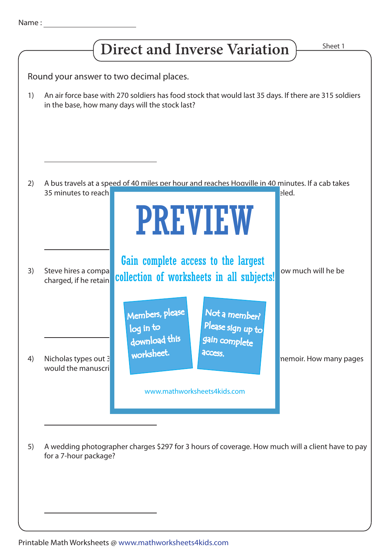|                                          | Sheet 1<br><b>Direct and Inverse Variation</b>                                                                                                                                                                                       |  |  |  |
|------------------------------------------|--------------------------------------------------------------------------------------------------------------------------------------------------------------------------------------------------------------------------------------|--|--|--|
|                                          |                                                                                                                                                                                                                                      |  |  |  |
| Round your answer to two decimal places. |                                                                                                                                                                                                                                      |  |  |  |
| 1)                                       | An air force base with 270 soldiers has food stock that would last 35 days. If there are 315 soldiers<br>in the base, how many days will the stock last?                                                                             |  |  |  |
| 2)                                       | A bus travels at a speed of 40 miles per hour and reaches Hoaville in 40 minutes. If a cab takes<br>35 minutes to reach<br>eled.<br><b>PREVIEW</b>                                                                                   |  |  |  |
| 3)                                       | Gain complete access to the largest<br>ow much will he be<br>Steve hires a compa<br>collection of worksheets in all subjects!<br>charged, if he retain                                                                               |  |  |  |
| 4)                                       | Not a member?<br>Members, please<br>Please sign up to<br>log in to<br>download this<br>gain complete<br>worksheet.<br>access.<br>Nicholas types out 3<br>nemoir. How many pages<br>would the manuscri<br>www.mathworksheets4kids.com |  |  |  |
| 5)                                       | A wedding photographer charges \$297 for 3 hours of coverage. How much will a client have to pay<br>for a 7-hour package?                                                                                                            |  |  |  |